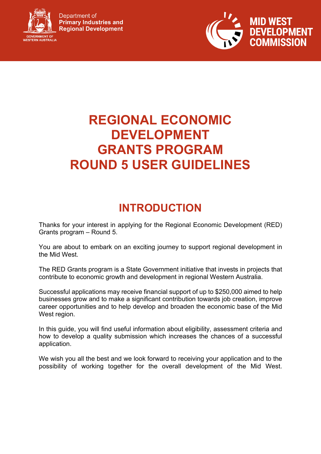

Department of **Primary Industries and Regional Development** 



# **REGIONAL ECONOMIC DEVELOPMENT GRANTS PROGRAM ROUND 5 USER GUIDELINES**

# **INTRODUCTION**

Thanks for your interest in applying for the Regional Economic Development (RED) Grants program – Round 5.

You are about to embark on an exciting journey to support regional development in the Mid West.

The RED Grants program is a State Government initiative that invests in projects that contribute to economic growth and development in regional Western Australia.

Successful applications may receive financial support of up to \$250,000 aimed to help businesses grow and to make a significant contribution towards job creation, improve career opportunities and to help develop and broaden the economic base of the Mid West region.

In this guide, you will find useful information about eligibility, assessment criteria and how to develop a quality submission which increases the chances of a successful application.

We wish you all the best and we look forward to receiving your application and to the possibility of working together for the overall development of the Mid West.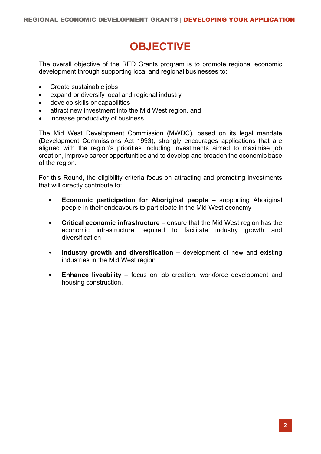# **OBJECTIVE**

The overall objective of the RED Grants program is to promote regional economic development through supporting local and regional businesses to:

- Create sustainable jobs
- expand or diversify local and regional industry
- develop skills or capabilities
- attract new investment into the Mid West region, and
- increase productivity of business

The Mid West Development Commission (MWDC), based on its legal mandate (Development Commissions Act 1993), strongly encourages applications that are aligned with the region's priorities including investments aimed to maximise job creation, improve career opportunities and to develop and broaden the economic base of the region.

For this Round, the eligibility criteria focus on attracting and promoting investments that will directly contribute to:

- **Economic participation for Aboriginal people** supporting Aboriginal people in their endeavours to participate in the Mid West economy
- **Critical economic infrastructure** ensure that the Mid West region has the economic infrastructure required to facilitate industry growth and diversification
- **Industry growth and diversification** development of new and existing industries in the Mid West region
- **Enhance liveability** focus on job creation, workforce development and housing construction.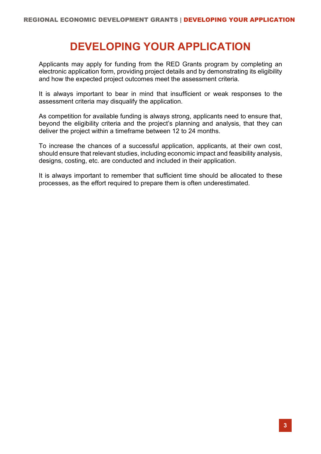# **DEVELOPING YOUR APPLICATION**

Applicants may apply for funding from the RED Grants program by completing an electronic application form, providing project details and by demonstrating its eligibility and how the expected project outcomes meet the assessment criteria.

It is always important to bear in mind that insufficient or weak responses to the assessment criteria may disqualify the application.

As competition for available funding is always strong, applicants need to ensure that, beyond the eligibility criteria and the project's planning and analysis, that they can deliver the project within a timeframe between 12 to 24 months.

To increase the chances of a successful application, applicants, at their own cost, should ensure that relevant studies, including economic impact and feasibility analysis, designs, costing, etc. are conducted and included in their application.

It is always important to remember that sufficient time should be allocated to these processes, as the effort required to prepare them is often underestimated.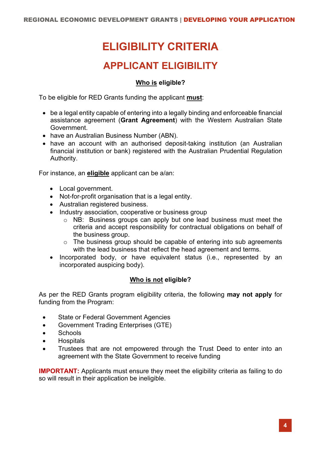# **ELIGIBILITY CRITERIA**

### **APPLICANT ELIGIBILITY**

### **Who is eligible?**

To be eligible for RED Grants funding the applicant **must**:

- be a legal entity capable of entering into a legally binding and enforceable financial assistance agreement (**Grant Agreement**) with the Western Australian State Government.
- have an Australian Business Number (ABN).
- have an account with an authorised deposit-taking institution (an Australian financial institution or bank) registered with the Australian Prudential Regulation Authority.

For instance, an **eligible** applicant can be a/an:

- Local government.
- Not-for-profit organisation that is a legal entity.
- Australian registered business.
- Industry association, cooperative or business group
	- o NB: Business groups can apply but one lead business must meet the criteria and accept responsibility for contractual obligations on behalf of the business group.
	- o The business group should be capable of entering into sub agreements with the lead business that reflect the head agreement and terms.
- Incorporated body, or have equivalent status (i.e., represented by an incorporated auspicing body).

### **Who is not eligible?**

As per the RED Grants program eligibility criteria, the following **may not apply** for funding from the Program:

- State or Federal Government Agencies
- Government Trading Enterprises (GTE)
- Schools
- Hospitals
- Trustees that are not empowered through the Trust Deed to enter into an agreement with the State Government to receive funding

**IMPORTANT:** Applicants must ensure they meet the eligibility criteria as failing to do so will result in their application be ineligible.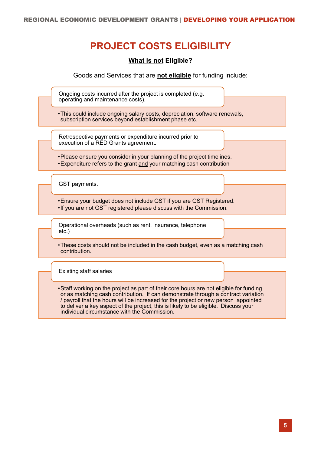# **PROJECT COSTS ELIGIBILITY**

**What is not Eligible?**

Goods and Services that are **not eligible** for funding include:

Ongoing costs incurred after the project is completed (e.g. operating and maintenance costs).

•This could include ongoing salary costs, depreciation, software renewals, subscription services beyond establishment phase etc.

Retrospective payments or expenditure incurred prior to execution of a RED Grants agreement.

•Please ensure you consider in your planning of the project timelines. •Expenditure refers to the grant and your matching cash contribution

GST payments.

•Ensure your budget does not include GST if you are GST Registered. •If you are not GST registered please discuss with the Commission.

Operational overheads (such as rent, insurance, telephone etc.)

•These costs should not be included in the cash budget, even as a matching cash contribution.

Existing staff salaries

•Staff working on the project as part of their core hours are not eligible for funding or as matching cash contribution. If can demonstrate through a contract variation / payroll that the hours will be increased for the project or new person appointed to deliver a key aspect of the project, this is likely to be eligible. Discuss your individual circumstance with the Commission.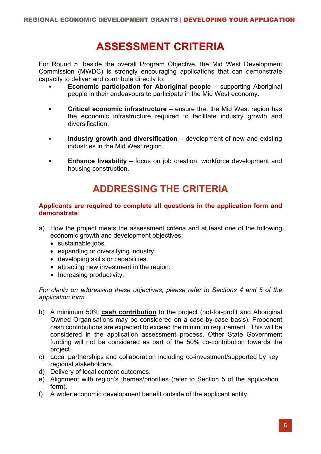# **ASSESSMENT CRITERIA**

For Round 5, beside the overall Program Objective, the Mid West Development Commission (MWDC) is strongly encouraging applications that can demonstrate capacity to deliver and contribute directly to:

- **Economic participation for Aboriginal people** supporting Aboriginal people in their endeavours to participate in the Mid West economy.
- **Critical economic infrastructure** ensure that the Mid West region has the economic infrastructure required to facilitate industry growth and diversification.
- **Industry growth and diversification** development of new and existing industries in the Mid West region.
- **Enhance liveability** focus on job creation, workforce development and housing construction.

## **ADDRESSING THE CRITERIA**

### **Applicants are required to complete all questions in the application form and demonstrate**:

- a) How the project meets the assessment criteria and at least one of the following economic growth and development objectives:
	- sustainable jobs.
	- expanding or diversifying industry.
	- developing skills or capabilities.
	- attracting new investment in the region.
	- Increasing productivity.

*For clarity on addressing these objectives, please refer to Sections 4 and 5 of the application form.* 

- b) A minimum 50% **cash contribution** to the project (not-for-profit and Aboriginal Owned Organisations may be considered on a case-by-case basis). Proponent cash contributions are expected to exceed the minimum requirement. This will be considered in the application assessment process. Other State Government funding will not be considered as part of the 50% co-contribution towards the project.
- c) Local partnerships and collaboration including co-investment/supported by key regional stakeholders.
- d) Delivery of local content outcomes.
- e) Alignment with region's themes/priorities (refer to Section 5 of the application form).
- f) A wider economic development benefit outside of the applicant entity.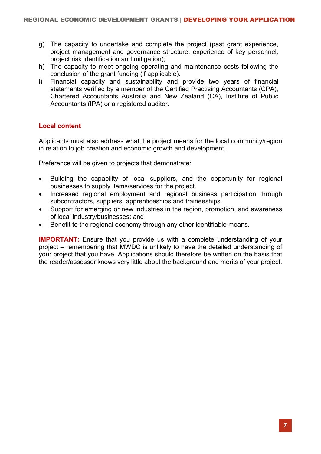- g) The capacity to undertake and complete the project (past grant experience, project management and governance structure, experience of key personnel, project risk identification and mitigation);
- h) The capacity to meet ongoing operating and maintenance costs following the conclusion of the grant funding (if applicable).
- i) Financial capacity and sustainability and provide two years of financial statements verified by a member of the Certified Practising Accountants (CPA), Chartered Accountants Australia and New Zealand (CA), Institute of Public Accountants (IPA) or a registered auditor.

### **Local content**

Applicants must also address what the project means for the local community/region in relation to job creation and economic growth and development.

Preference will be given to projects that demonstrate:

- Building the capability of local suppliers, and the opportunity for regional businesses to supply items/services for the project.
- Increased regional employment and regional business participation through subcontractors, suppliers, apprenticeships and traineeships.
- Support for emerging or new industries in the region, promotion, and awareness of local industry/businesses; and
- Benefit to the regional economy through any other identifiable means.

**IMPORTANT:** Ensure that you provide us with a complete understanding of your project – remembering that MWDC is unlikely to have the detailed understanding of your project that you have. Applications should therefore be written on the basis that the reader/assessor knows very little about the background and merits of your project.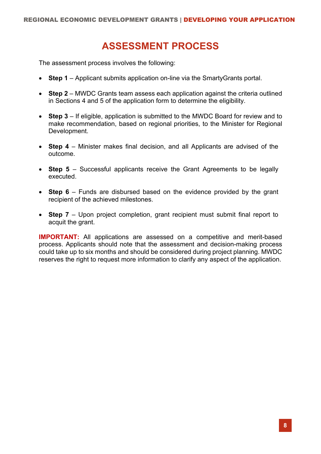### **ASSESSMENT PROCESS**

The assessment process involves the following:

- **Step 1** Applicant submits application on-line via the SmartyGrants portal.
- **Step 2** MWDC Grants team assess each application against the criteria outlined in Sections 4 and 5 of the application form to determine the eligibility.
- **Step 3** If eligible, application is submitted to the MWDC Board for review and to make recommendation, based on regional priorities, to the Minister for Regional Development.
- **Step 4** Minister makes final decision, and all Applicants are advised of the outcome.
- **Step 5** Successful applicants receive the Grant Agreements to be legally executed.
- **Step 6** Funds are disbursed based on the evidence provided by the grant recipient of the achieved milestones.
- **Step 7** Upon project completion, grant recipient must submit final report to acquit the grant.

**IMPORTANT:** All applications are assessed on a competitive and merit-based process. Applicants should note that the assessment and decision-making process could take up to six months and should be considered during project planning. MWDC reserves the right to request more information to clarify any aspect of the application.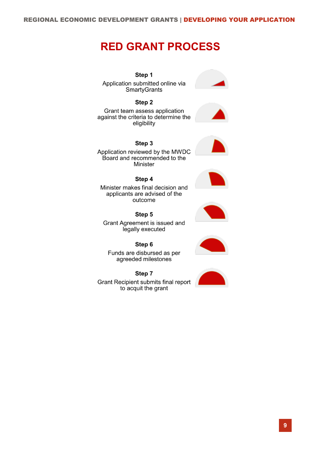# **RED GRANT PROCESS**

Step 1 Application submitted online via SmartyGrants

#### Step 2

Grant team assess application against the criteria to determine the eligibility

#### Step 3





Minister makes final decision and applicants are advised of the outcome

Step 4

Step 5 Grant Agreement is issued and legally executed

Step 6 Funds are disbursed as per agreeded milestones

Step 7 Grant Recipient submits final report to acquit the grant





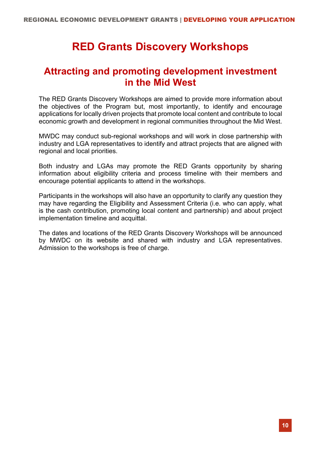# **RED Grants Discovery Workshops**

### **Attracting and promoting development investment in the Mid West**

The RED Grants Discovery Workshops are aimed to provide more information about the objectives of the Program but, most importantly, to identify and encourage applications for locally driven projects that promote local content and contribute to local economic growth and development in regional communities throughout the Mid West.

MWDC may conduct sub-regional workshops and will work in close partnership with industry and LGA representatives to identify and attract projects that are aligned with regional and local priorities.

Both industry and LGAs may promote the RED Grants opportunity by sharing information about eligibility criteria and process timeline with their members and encourage potential applicants to attend in the workshops.

Participants in the workshops will also have an opportunity to clarify any question they may have regarding the Eligibility and Assessment Criteria (i.e. who can apply, what is the cash contribution, promoting local content and partnership) and about project implementation timeline and acquittal.

The dates and locations of the RED Grants Discovery Workshops will be announced by MWDC on its website and shared with industry and LGA representatives. Admission to the workshops is free of charge.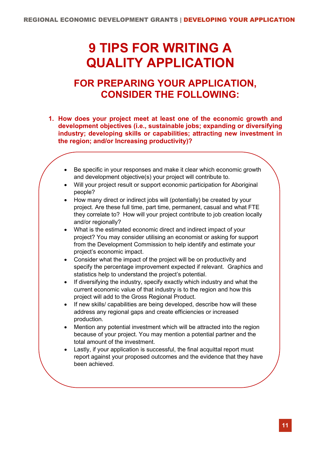# **9 TIPS FOR WRITING A QUALITY APPLICATION**

### **FOR PREPARING YOUR APPLICATION, CONSIDER THE FOLLOWING:**

- **1. How does your project meet at least one of the economic growth and development objectives (i.e., sustainable jobs; expanding or diversifying industry; developing skills or capabilities; attracting new investment in the region; and/or Increasing productivity)?**
	- Be specific in your responses and make it clear which economic growth and development objective(s) your project will contribute to.
	- Will your project result or support economic participation for Aboriginal people?
	- How many direct or indirect jobs will (potentially) be created by your project. Are these full time, part time, permanent, casual and what FTE they correlate to? How will your project contribute to job creation locally and/or regionally?
	- What is the estimated economic direct and indirect impact of your project? You may consider utilising an economist or asking for support from the Development Commission to help identify and estimate your project's economic impact.
	- Consider what the impact of the project will be on productivity and specify the percentage improvement expected if relevant. Graphics and statistics help to understand the project's potential.
	- If diversifying the industry, specify exactly which industry and what the current economic value of that industry is to the region and how this project will add to the Gross Regional Product.
	- If new skills/ capabilities are being developed, describe how will these address any regional gaps and create efficiencies or increased production.
	- Mention any potential investment which will be attracted into the region because of your project. You may mention a potential partner and the total amount of the investment.
	- Lastly, if your application is successful, the final acquittal report must report against your proposed outcomes and the evidence that they have been achieved.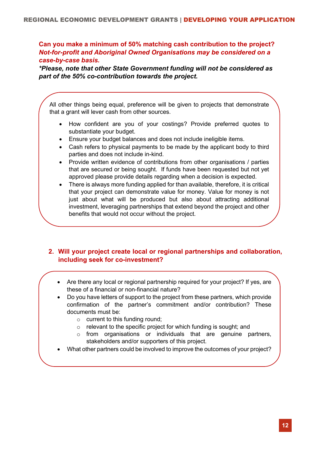**Can you make a minimum of 50% matching cash contribution to the project?** *Not-for-profit and Aboriginal Owned Organisations may be considered on a case-by-case basis.*

*\*Please, note that other State Government funding will not be considered as part of the 50% co-contribution towards the project.*

All other things being equal, preference will be given to projects that demonstrate that a grant will lever cash from other sources.

- How confident are you of your costings? Provide preferred quotes to substantiate your budget.
- Ensure your budget balances and does not include ineligible items.
- Cash refers to physical payments to be made by the applicant body to third parties and does not include in-kind.
- Provide written evidence of contributions from other organisations / parties that are secured or being sought. If funds have been requested but not yet approved please provide details regarding when a decision is expected.
- There is always more funding applied for than available, therefore, it is critical that your project can demonstrate value for money. Value for money is not just about what will be produced but also about attracting additional investment, leveraging partnerships that extend beyond the project and other benefits that would not occur without the project.

### **2. Will your project create local or regional partnerships and collaboration, including seek for co-investment?**

- Are there any local or regional partnership required for your project? If yes, are these of a financial or non-financial nature?
- Do you have letters of support to the project from these partners, which provide confirmation of the partner's commitment and/or contribution? These documents must be:
	- o current to this funding round;
	- o relevant to the specific project for which funding is sought; and
	- $\circ$  from organisations or individuals that are genuine partners, stakeholders and/or supporters of this project.
- What other partners could be involved to improve the outcomes of your project?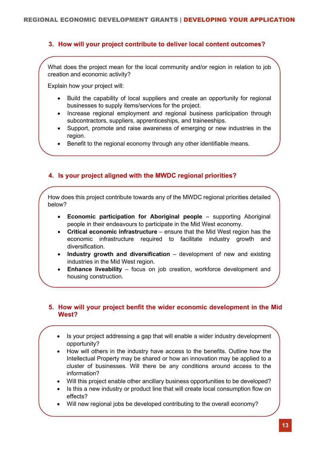### **3. How will your project contribute to deliver local content outcomes?**

What does the project mean for the local community and/or region in relation to job creation and economic activity?

Explain how your project will:

- Build the capability of local suppliers and create an opportunity for regional businesses to supply items/services for the project.
- Increase regional employment and regional business participation through subcontractors, suppliers, apprenticeships, and traineeships.
- Support, promote and raise awareness of emerging or new industries in the region.
- Benefit to the regional economy through any other identifiable means.

### **4. Is your project aligned with the MWDC regional priorities?**

How does this project contribute towards any of the MWDC regional priorities detailed below?

- **Economic participation for Aboriginal people** supporting Aboriginal people in their endeavours to participate in the Mid West economy.
- **Critical economic infrastructure** ensure that the Mid West region has the economic infrastructure required to facilitate industry growth and diversification.
- **Industry growth and diversification** development of new and existing industries in the Mid West region.
- **Enhance liveability** focus on job creation, workforce development and housing construction.

#### **5. How will your project benfit the wider economic development in the Mid West?**

- Is your project addressing a gap that will enable a wider industry development opportunity?
- How will others in the industry have access to the benefits. Outline how the Intellectual Property may be shared or how an innovation may be applied to a cluster of businesses. Will there be any conditions around access to the information?
- Will this project enable other ancillary business opportunities to be developed?
- Is this a new industry or product line that will create local consumption flow on effects?
- Will new regional jobs be developed contributing to the overall economy?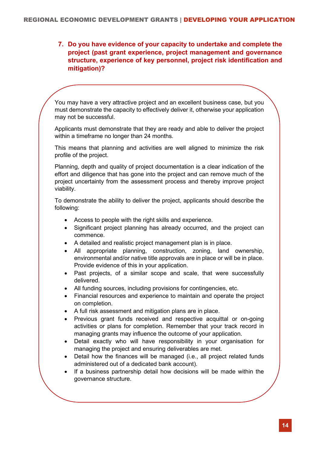**7. Do you have evidence of your capacity to undertake and complete the project (past grant experience, project management and governance structure, experience of key personnel, project risk identification and mitigation)?**

You may have a very attractive project and an excellent business case, but you must demonstrate the capacity to effectively deliver it, otherwise your application may not be successful.

Applicants must demonstrate that they are ready and able to deliver the project within a timeframe no longer than 24 months.

This means that planning and activities are well aligned to minimize the risk profile of the project.

Planning, depth and quality of project documentation is a clear indication of the effort and diligence that has gone into the project and can remove much of the project uncertainty from the assessment process and thereby improve project viability.

To demonstrate the ability to deliver the project, applicants should describe the following:

- Access to people with the right skills and experience.
- Significant project planning has already occurred, and the project can commence.
- A detailed and realistic project management plan is in place.
- All appropriate planning, construction, zoning, land ownership, environmental and/or native title approvals are in place or will be in place. Provide evidence of this in your application.
- Past projects, of a similar scope and scale, that were successfully delivered.
- All funding sources, including provisions for contingencies, etc.
- Financial resources and experience to maintain and operate the project on completion.
- A full risk assessment and mitigation plans are in place.
- Previous grant funds received and respective acquittal or on-going activities or plans for completion. Remember that your track record in managing grants may influence the outcome of your application.
- Detail exactly who will have responsibility in your organisation for managing the project and ensuring deliverables are met.
- Detail how the finances will be managed (i.e., all project related funds administered out of a dedicated bank account).
- If a business partnership detail how decisions will be made within the governance structure.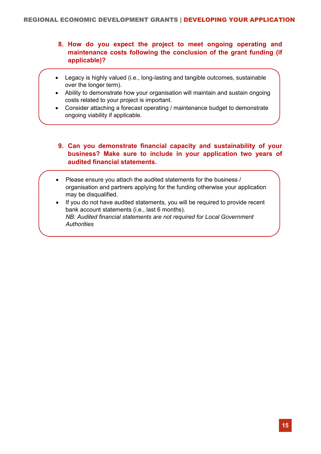- **8. How do you expect the project to meet ongoing operating and maintenance costs following the conclusion of the grant funding (if applicable)?**
- Legacy is highly valued (i.e., long-lasting and tangible outcomes, sustainable over the longer term).
- Ability to demonstrate how your organisation will maintain and sustain ongoing costs related to your project is important.
- Consider attaching a forecast operating / maintenance budget to demonstrate ongoing viability if applicable.
- **9. Can you demonstrate financial capacity and sustainability of your business? Make sure to include in your application two years of audited financial statements.**
- Please ensure you attach the audited statements for the business / organisation and partners applying for the funding otherwise your application may be disqualified.
- If you do not have audited statements, you will be required to provide recent bank account statements (i.e., last 6 months). *NB: Audited financial statements are not required for Local Government Authorities*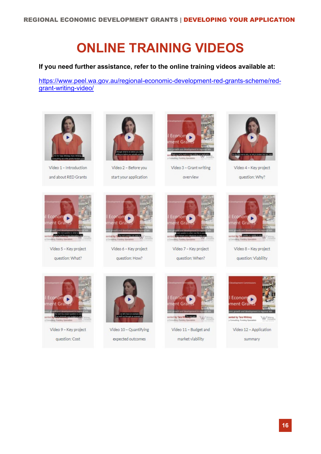# **ONLINE TRAINING VIDEOS**

### **If you need further assistance, refer to the online training videos available at:**

[https://www.peel.wa.gov.au/regional-economic-development-red-grants-scheme/red](https://www.peel.wa.gov.au/regional-economic-development-red-grants-scheme/red-grant-writing-video/)[grant-writing-video/](https://www.peel.wa.gov.au/regional-economic-development-red-grants-scheme/red-grant-writing-video/)



Video 1 - Introduction and about RED Grants



Vídeo 2 - Before you start your application



Video 3 - Grant writing overview



Video 7 - Key project question: When?



Video 4 - Key project question: Why?



Video 5 - Key project question: What?



Video 6 - Key project question: How?





Video 8 - Key project question: Viability



Video 9 - Key project question: Cost



Video 10 - Quantifying expected outcomes



Video 11 - Budget and market viability